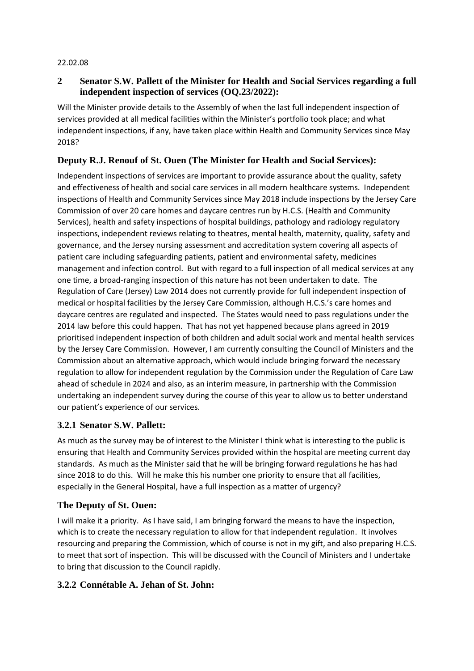#### 22.02.08

### **2 Senator S.W. Pallett of the Minister for Health and Social Services regarding a full independent inspection of services (OQ.23/2022):**

Will the Minister provide details to the Assembly of when the last full independent inspection of services provided at all medical facilities within the Minister's portfolio took place; and what independent inspections, if any, have taken place within Health and Community Services since May 2018?

### **Deputy R.J. Renouf of St. Ouen (The Minister for Health and Social Services):**

Independent inspections of services are important to provide assurance about the quality, safety and effectiveness of health and social care services in all modern healthcare systems. Independent inspections of Health and Community Services since May 2018 include inspections by the Jersey Care Commission of over 20 care homes and daycare centres run by H.C.S. (Health and Community Services), health and safety inspections of hospital buildings, pathology and radiology regulatory inspections, independent reviews relating to theatres, mental health, maternity, quality, safety and governance, and the Jersey nursing assessment and accreditation system covering all aspects of patient care including safeguarding patients, patient and environmental safety, medicines management and infection control. But with regard to a full inspection of all medical services at any one time, a broad-ranging inspection of this nature has not been undertaken to date. The Regulation of Care (Jersey) Law 2014 does not currently provide for full independent inspection of medical or hospital facilities by the Jersey Care Commission, although H.C.S.'s care homes and daycare centres are regulated and inspected. The States would need to pass regulations under the 2014 law before this could happen. That has not yet happened because plans agreed in 2019 prioritised independent inspection of both children and adult social work and mental health services by the Jersey Care Commission. However, I am currently consulting the Council of Ministers and the Commission about an alternative approach, which would include bringing forward the necessary regulation to allow for independent regulation by the Commission under the Regulation of Care Law ahead of schedule in 2024 and also, as an interim measure, in partnership with the Commission undertaking an independent survey during the course of this year to allow us to better understand our patient's experience of our services.

# **3.2.1 Senator S.W. Pallett:**

As much as the survey may be of interest to the Minister I think what is interesting to the public is ensuring that Health and Community Services provided within the hospital are meeting current day standards. As much as the Minister said that he will be bringing forward regulations he has had since 2018 to do this. Will he make this his number one priority to ensure that all facilities, especially in the General Hospital, have a full inspection as a matter of urgency?

#### **The Deputy of St. Ouen:**

I will make it a priority. As I have said, I am bringing forward the means to have the inspection, which is to create the necessary regulation to allow for that independent regulation. It involves resourcing and preparing the Commission, which of course is not in my gift, and also preparing H.C.S. to meet that sort of inspection. This will be discussed with the Council of Ministers and I undertake to bring that discussion to the Council rapidly.

#### **3.2.2 Connétable A. Jehan of St. John:**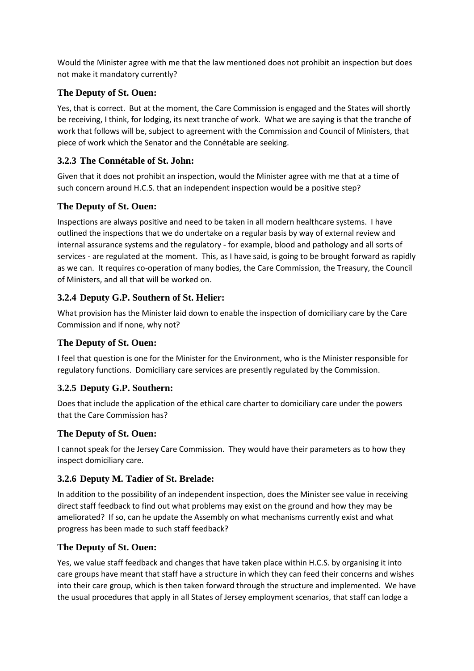Would the Minister agree with me that the law mentioned does not prohibit an inspection but does not make it mandatory currently?

### **The Deputy of St. Ouen:**

Yes, that is correct. But at the moment, the Care Commission is engaged and the States will shortly be receiving, I think, for lodging, its next tranche of work. What we are saying is that the tranche of work that follows will be, subject to agreement with the Commission and Council of Ministers, that piece of work which the Senator and the Connétable are seeking.

### **3.2.3 The Connétable of St. John:**

Given that it does not prohibit an inspection, would the Minister agree with me that at a time of such concern around H.C.S. that an independent inspection would be a positive step?

#### **The Deputy of St. Ouen:**

Inspections are always positive and need to be taken in all modern healthcare systems. I have outlined the inspections that we do undertake on a regular basis by way of external review and internal assurance systems and the regulatory - for example, blood and pathology and all sorts of services - are regulated at the moment. This, as I have said, is going to be brought forward as rapidly as we can. It requires co-operation of many bodies, the Care Commission, the Treasury, the Council of Ministers, and all that will be worked on.

# **3.2.4 Deputy G.P. Southern of St. Helier:**

What provision has the Minister laid down to enable the inspection of domiciliary care by the Care Commission and if none, why not?

#### **The Deputy of St. Ouen:**

I feel that question is one for the Minister for the Environment, who is the Minister responsible for regulatory functions. Domiciliary care services are presently regulated by the Commission.

#### **3.2.5 Deputy G.P. Southern:**

Does that include the application of the ethical care charter to domiciliary care under the powers that the Care Commission has?

#### **The Deputy of St. Ouen:**

I cannot speak for the Jersey Care Commission. They would have their parameters as to how they inspect domiciliary care.

#### **3.2.6 Deputy M. Tadier of St. Brelade:**

In addition to the possibility of an independent inspection, does the Minister see value in receiving direct staff feedback to find out what problems may exist on the ground and how they may be ameliorated? If so, can he update the Assembly on what mechanisms currently exist and what progress has been made to such staff feedback?

#### **The Deputy of St. Ouen:**

Yes, we value staff feedback and changes that have taken place within H.C.S. by organising it into care groups have meant that staff have a structure in which they can feed their concerns and wishes into their care group, which is then taken forward through the structure and implemented. We have the usual procedures that apply in all States of Jersey employment scenarios, that staff can lodge a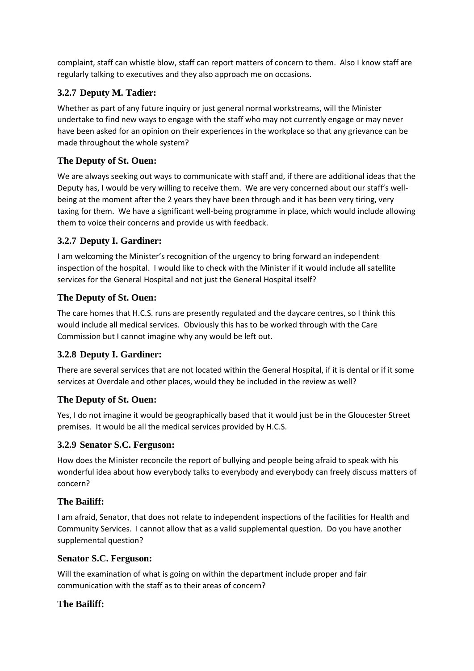complaint, staff can whistle blow, staff can report matters of concern to them. Also I know staff are regularly talking to executives and they also approach me on occasions.

# **3.2.7 Deputy M. Tadier:**

Whether as part of any future inquiry or just general normal workstreams, will the Minister undertake to find new ways to engage with the staff who may not currently engage or may never have been asked for an opinion on their experiences in the workplace so that any grievance can be made throughout the whole system?

## **The Deputy of St. Ouen:**

We are always seeking out ways to communicate with staff and, if there are additional ideas that the Deputy has, I would be very willing to receive them. We are very concerned about our staff's wellbeing at the moment after the 2 years they have been through and it has been very tiring, very taxing for them. We have a significant well-being programme in place, which would include allowing them to voice their concerns and provide us with feedback.

### **3.2.7 Deputy I. Gardiner:**

I am welcoming the Minister's recognition of the urgency to bring forward an independent inspection of the hospital. I would like to check with the Minister if it would include all satellite services for the General Hospital and not just the General Hospital itself?

#### **The Deputy of St. Ouen:**

The care homes that H.C.S. runs are presently regulated and the daycare centres, so I think this would include all medical services. Obviously this has to be worked through with the Care Commission but I cannot imagine why any would be left out.

# **3.2.8 Deputy I. Gardiner:**

There are several services that are not located within the General Hospital, if it is dental or if it some services at Overdale and other places, would they be included in the review as well?

#### **The Deputy of St. Ouen:**

Yes, I do not imagine it would be geographically based that it would just be in the Gloucester Street premises. It would be all the medical services provided by H.C.S.

#### **3.2.9 Senator S.C. Ferguson:**

How does the Minister reconcile the report of bullying and people being afraid to speak with his wonderful idea about how everybody talks to everybody and everybody can freely discuss matters of concern?

#### **The Bailiff:**

I am afraid, Senator, that does not relate to independent inspections of the facilities for Health and Community Services. I cannot allow that as a valid supplemental question. Do you have another supplemental question?

#### **Senator S.C. Ferguson:**

Will the examination of what is going on within the department include proper and fair communication with the staff as to their areas of concern?

#### **The Bailiff:**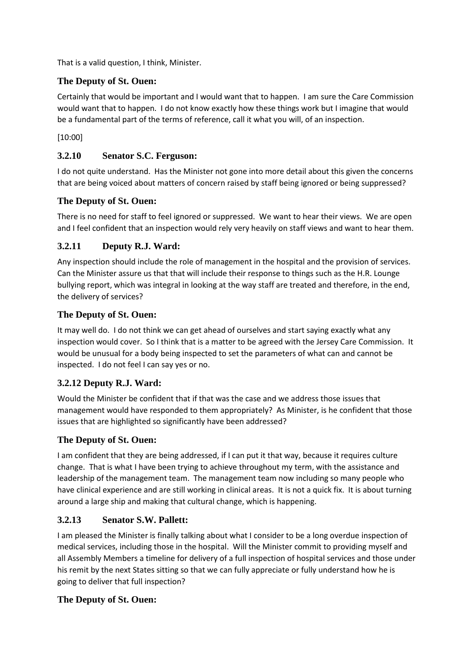That is a valid question, I think, Minister.

### **The Deputy of St. Ouen:**

Certainly that would be important and I would want that to happen. I am sure the Care Commission would want that to happen. I do not know exactly how these things work but I imagine that would be a fundamental part of the terms of reference, call it what you will, of an inspection.

[10:00]

### **3.2.10 Senator S.C. Ferguson:**

I do not quite understand. Has the Minister not gone into more detail about this given the concerns that are being voiced about matters of concern raised by staff being ignored or being suppressed?

### **The Deputy of St. Ouen:**

There is no need for staff to feel ignored or suppressed. We want to hear their views. We are open and I feel confident that an inspection would rely very heavily on staff views and want to hear them.

### **3.2.11 Deputy R.J. Ward:**

Any inspection should include the role of management in the hospital and the provision of services. Can the Minister assure us that that will include their response to things such as the H.R. Lounge bullying report, which was integral in looking at the way staff are treated and therefore, in the end, the delivery of services?

### **The Deputy of St. Ouen:**

It may well do. I do not think we can get ahead of ourselves and start saying exactly what any inspection would cover. So I think that is a matter to be agreed with the Jersey Care Commission. It would be unusual for a body being inspected to set the parameters of what can and cannot be inspected. I do not feel I can say yes or no.

# **3.2.12 Deputy R.J. Ward:**

Would the Minister be confident that if that was the case and we address those issues that management would have responded to them appropriately? As Minister, is he confident that those issues that are highlighted so significantly have been addressed?

# **The Deputy of St. Ouen:**

I am confident that they are being addressed, if I can put it that way, because it requires culture change. That is what I have been trying to achieve throughout my term, with the assistance and leadership of the management team. The management team now including so many people who have clinical experience and are still working in clinical areas. It is not a quick fix. It is about turning around a large ship and making that cultural change, which is happening.

#### **3.2.13 Senator S.W. Pallett:**

I am pleased the Minister is finally talking about what I consider to be a long overdue inspection of medical services, including those in the hospital. Will the Minister commit to providing myself and all Assembly Members a timeline for delivery of a full inspection of hospital services and those under his remit by the next States sitting so that we can fully appreciate or fully understand how he is going to deliver that full inspection?

#### **The Deputy of St. Ouen:**